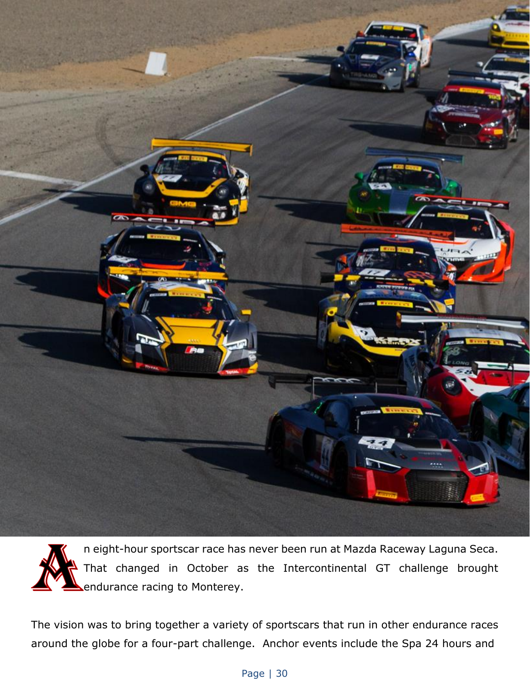

n eight-hour sportscar race has never been run at Mazda Raceway Laguna Seca. That changed in October as the Intercontinental GT challenge brought endurance racing to Monterey.

The vision was to bring together a variety of sportscars that run in other endurance races around the globe for a four-part challenge. Anchor events include the Spa 24 hours and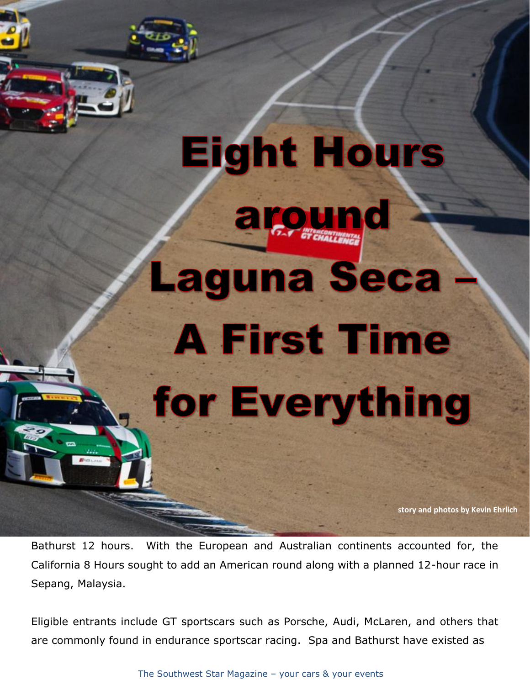## **Eight Hours** around **Laguna Seca**

## **A First Time** for Everything

**story and photos by Kevin Ehrlich**

Bathurst 12 hours. With the European and Australian continents accounted for, the California 8 Hours sought to add an American round along with a planned 12-hour race in Sepang, Malaysia.

Eligible entrants include GT sportscars such as Porsche, Audi, McLaren, and others that are commonly found in endurance sportscar racing. Spa and Bathurst have existed as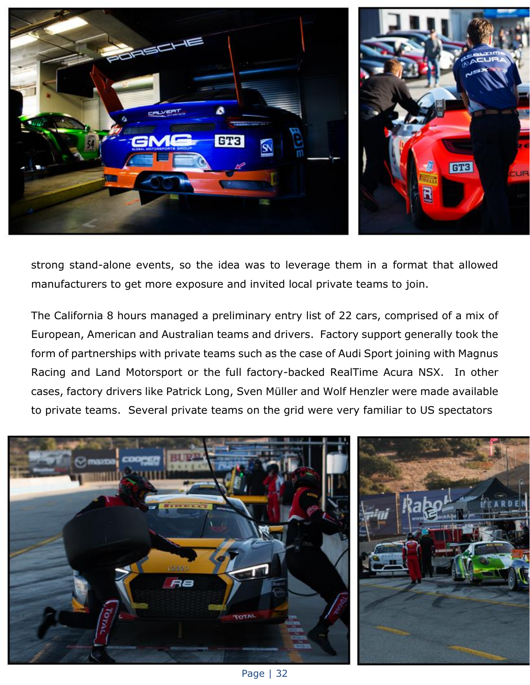

strong stand-alone events, so the idea was to leverage them in a format that allowed manufacturers to get more exposure and invited local private teams to join.

The California 8 hours managed a preliminary entry list of 22 cars, comprised of a mix of European, American and Australian teams and drivers. Factory support generally took the form of partnerships with private teams such as the case of Audi Sport joining with Magnus Racing and Land Motorsport or the full factory-backed RealTime Acura NSX. In other cases, factory drivers like Patrick Long, Sven Müller and Wolf Henzler were made available to private teams. Several private teams on the grid were very familiar to US spectators



Page | 32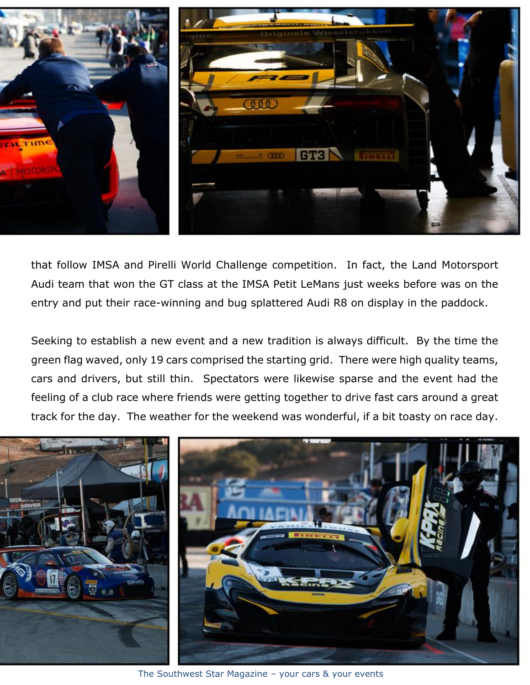

that follow IMSA and Pirelli World Challenge competition. In fact, the Land Motorsport Audi team that won the GT class at the IMSA Petit LeMans just weeks before was on the entry and put their race-winning and bug splattered Audi R8 on display in the paddock.

Seeking to establish a new event and a new tradition is always difficult. By the time the green flag waved, only 19 cars comprised the starting grid. There were high quality teams, cars and drivers, but still thin. Spectators were likewise sparse and the event had the feeling of a club race where friends were getting together to drive fast cars around a great track for the day. The weather for the weekend was wonderful, if a bit toasty on race day.



The Southwest Star Magazine – your cars & your events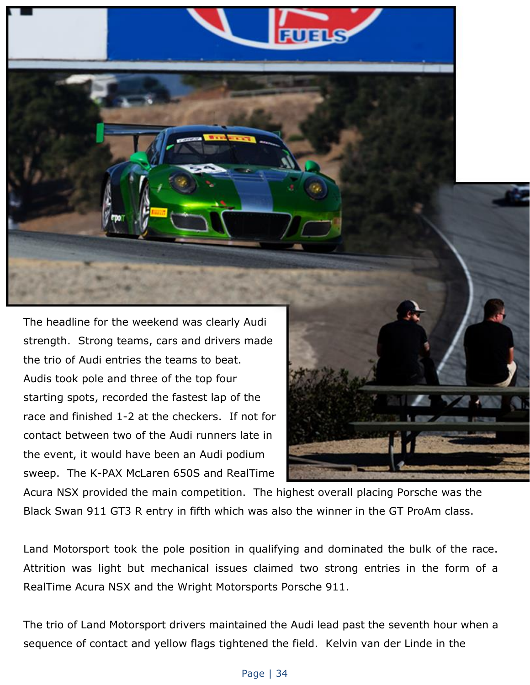The headline for the weekend was clearly Audi strength. Strong teams, cars and drivers made the trio of Audi entries the teams to beat. Audis took pole and three of the top four starting spots, recorded the fastest lap of the race and finished 1-2 at the checkers. If not for contact between two of the Audi runners late in the event, it would have been an Audi podium sweep. The K-PAX McLaren 650S and RealTime



Acura NSX provided the main competition. The highest overall placing Porsche was the Black Swan 911 GT3 R entry in fifth which was also the winner in the GT ProAm class.

Land Motorsport took the pole position in qualifying and dominated the bulk of the race. Attrition was light but mechanical issues claimed two strong entries in the form of a RealTime Acura NSX and the Wright Motorsports Porsche 911.

The trio of Land Motorsport drivers maintained the Audi lead past the seventh hour when a sequence of contact and yellow flags tightened the field. Kelvin van der Linde in the